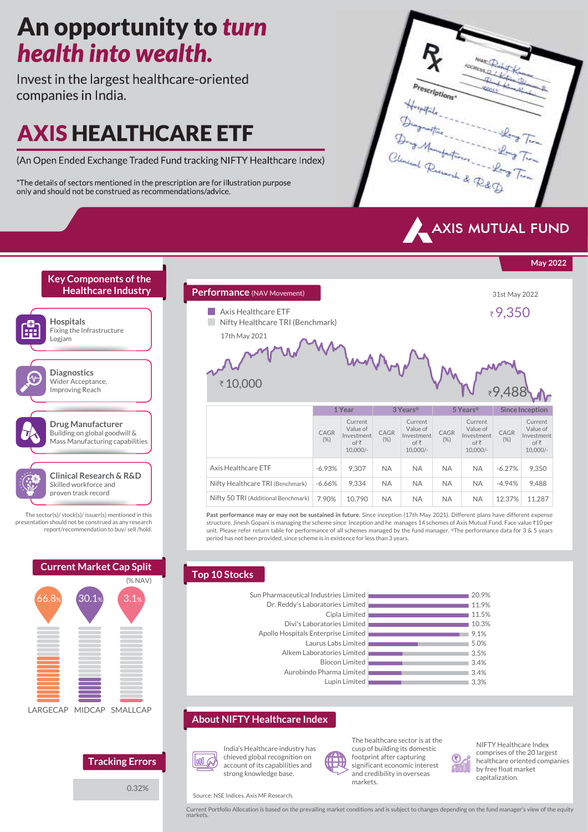# An opportunity to turn health into wealth.

Invest in the largest healthcare-oriented companies in India.

# **AXIS HEALTHCARE ETF**

(An Open Ended Exchange Traded Fund tracking NIFTY Healthcare Index)

\*The details of sectors mentioned in the prescription are for illustration purpose only and should not be construed as recommendations/advice.





**May 2022**



|          |               | <b>Current Market Cap Split</b> |
|----------|---------------|---------------------------------|
|          |               | (XAN)                           |
| 66.8%    | 30.1%         | 3.1%                            |
|          |               |                                 |
|          |               |                                 |
|          |               |                                 |
|          |               |                                 |
|          |               |                                 |
|          |               |                                 |
|          |               |                                 |
| LARGECAP | <b>MIDCAP</b> | SMALLCAP                        |
|          |               |                                 |
|          |               |                                 |
|          |               |                                 |
|          |               | <b>Tracking Errors</b>          |

0.32%



Nifty Healthcare TRI (Benchmark) Nifty 50 TRI (Additional Benchmark) **Past performance may or may not be sustained in future.** Since inception (17th May 2021). Different plans have different expense structure. Jinesh Gopani is managing the scheme since Inception and he manages 14 schemes of Axis Mutual Fund. Face value ₹10 per unit. Please refer return table for performance of all schemes managed by the fund manager. **The performance data for 3 & 5 years** -6.66% 7.90% 9,334 10,790 NA NA NA NA NA NA NA NA -4.94% 12.37% 9,488 11,287

### **Top 10 Stocks**

Aurobindo Pharma Lin **Biocon Lin** Alkem Laboratories Lin Laurus Labs Lir Apollo Hospitals Enterprise Lir Divi's Laboratories Lin Cipla Lir Dr. Reddy's Laboratories Lin Sun Pharmaceutical Industries Lin

period has not been provided, since scheme is in existence for less than 3 years.

| stries Limited | 20.9% |
|----------------|-------|
| tories Limited | 11.9% |
| Cipla Limited  | 11.5% |
| tories Limited | 10.3% |
| rprise Limited | 9.1%  |
| s Labs Limited | 5.0%  |
| tories Limited | 3.5%  |
| 3iocon Limited | 3.4%  |
| harma Limited  | 3.4%  |
| Lupin Limited  | 3.3%  |

**About NIFTY Healthcare Index**



India's Healthcare industry has chieved global recognition on account of its capabilities and strong knowledge base.



The healthcare sector is at the cusp of building its domestic footprint after capturing significant economic interest and credibility in overseas markets.



NIFTY Healthcare Index comprises of the 20 largest healthcare oriented companies by free float market capitalization.



Current Portfolio Allocation is based on the prevailing market conditions and is subject to changes depending on the fund manager's view of the equity markets.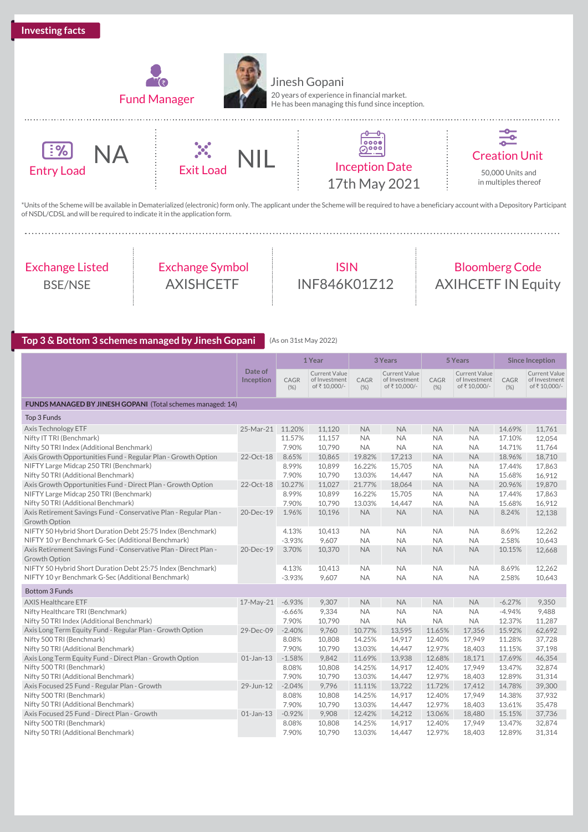



Jinesh Gopani 20 years of experience in financial market. He has been managing this fund since inception.







 $\frac{1}{2}$ Creation Unit 50,000 Units and in multiples thereof

\*Units of the Scheme will be available in Dematerialized (electronic) form only. The applicant under the Scheme will be required to have a beneficiary account with a Depository Participant of NSDL/CDSL and will be required to indicate it in the application form.

## Exchange Listed BSE/NSE

Exchange Symbol AXISHCETF

ISIN INF846K01Z12

## Bloomberg Code AXIHCETF IN Equity

### **Top 3 & Bottom 3 schemes managed by Jinesh Gopani** (As on 31st May 2022)

|                                                                   |                      |              | 1 Year<br>3 Years<br>5 Years<br><b>Since Inception</b> |              |                                                       |              |                                               |              |                                                       |
|-------------------------------------------------------------------|----------------------|--------------|--------------------------------------------------------|--------------|-------------------------------------------------------|--------------|-----------------------------------------------|--------------|-------------------------------------------------------|
|                                                                   | Date of<br>Inception | CAGR<br>(% ) | <b>Current Value</b><br>of Investment<br>of ₹10,000/-  | CAGR<br>(% ) | <b>Current Value</b><br>of Investment<br>of ₹10,000/- | CAGR<br>(% ) | Current Value<br>of Investment<br>of₹10,000/- | CAGR<br>(% ) | <b>Current Value</b><br>of Investment<br>of ₹10,000/- |
| FUNDS MANAGED BY JINESH GOPANI (Total schemes managed: 14)        |                      |              |                                                        |              |                                                       |              |                                               |              |                                                       |
| Top 3 Funds                                                       |                      |              |                                                        |              |                                                       |              |                                               |              |                                                       |
| Axis Technology ETF                                               | 25-Mar-21 11.20%     |              | 11,120                                                 | <b>NA</b>    | <b>NA</b>                                             | <b>NA</b>    | <b>NA</b>                                     | 14.69%       | 11,761                                                |
| Nifty IT TRI (Benchmark)                                          |                      | 11.57%       | 11,157                                                 | <b>NA</b>    | <b>NA</b>                                             | <b>NA</b>    | <b>NA</b>                                     | 17.10%       | 12,054                                                |
| Nifty 50 TRI Index (Additional Benchmark)                         |                      | 7.90%        | 10,790                                                 | <b>NA</b>    | <b>NA</b>                                             | <b>NA</b>    | <b>NA</b>                                     | 14.71%       | 11,764                                                |
| Axis Growth Opportunities Fund - Regular Plan - Growth Option     | 22-Oct-18            | 8.65%        | 10,865                                                 | 19.82%       | 17,213                                                | <b>NA</b>    | <b>NA</b>                                     | 18.96%       | 18,710                                                |
| NIFTY Large Midcap 250 TRI (Benchmark)                            |                      | 8.99%        | 10,899                                                 | 16.22%       | 15,705                                                | <b>NA</b>    | <b>NA</b>                                     | 17.44%       | 17,863                                                |
| Nifty 50 TRI (Additional Benchmark)                               |                      | 7.90%        | 10,790                                                 | 13.03%       | 14,447                                                | <b>NA</b>    | <b>NA</b>                                     | 15.68%       | 16,912                                                |
| Axis Growth Opportunities Fund - Direct Plan - Growth Option      | 22-Oct-18            | 10.27%       | 11,027                                                 | 21.77%       | 18,064                                                | <b>NA</b>    | <b>NA</b>                                     | 20.96%       | 19,870                                                |
| NIFTY Large Midcap 250 TRI (Benchmark)                            |                      | 8.99%        | 10,899                                                 | 16.22%       | 15.705                                                | <b>NA</b>    | <b>NA</b>                                     | 17.44%       | 17,863                                                |
| Nifty 50 TRI (Additional Benchmark)                               |                      | 7.90%        | 10,790                                                 | 13.03%       | 14,447                                                | <b>NA</b>    | <b>NA</b>                                     | 15.68%       | 16,912                                                |
| Axis Retirement Savings Fund - Conservative Plan - Regular Plan - | 20-Dec-19            | 1.96%        | 10,196                                                 | <b>NA</b>    | <b>NA</b>                                             | <b>NA</b>    | <b>NA</b>                                     | 8.24%        | 12,138                                                |
| Growth Option                                                     |                      |              |                                                        |              |                                                       |              |                                               |              |                                                       |
| NIFTY 50 Hybrid Short Duration Debt 25:75 Index (Benchmark)       |                      | 4.13%        | 10,413                                                 | NA           | <b>NA</b>                                             | <b>NA</b>    | <b>NA</b>                                     | 8.69%        | 12,262                                                |
| NIFTY 10 yr Benchmark G-Sec (Additional Benchmark)                |                      | $-3.93%$     | 9,607                                                  | <b>NA</b>    | <b>NA</b>                                             | <b>NA</b>    | <b>NA</b>                                     | 2.58%        | 10,643                                                |
| Axis Retirement Savings Fund - Conservative Plan - Direct Plan -  | 20-Dec-19            | 3.70%        | 10,370                                                 | <b>NA</b>    | <b>NA</b>                                             | <b>NA</b>    | <b>NA</b>                                     | 10.15%       | 12,668                                                |
| Growth Option                                                     |                      |              |                                                        |              |                                                       |              |                                               |              |                                                       |
| NIFTY 50 Hybrid Short Duration Debt 25:75 Index (Benchmark)       |                      | 4.13%        | 10,413                                                 | <b>NA</b>    | <b>NA</b>                                             | <b>NA</b>    | <b>NA</b>                                     | 8.69%        | 12,262                                                |
| NIFTY 10 yr Benchmark G-Sec (Additional Benchmark)                |                      | $-3.93%$     | 9,607                                                  | <b>NA</b>    | <b>NA</b>                                             | <b>NA</b>    | <b>NA</b>                                     | 2.58%        | 10,643                                                |
| <b>Bottom 3 Funds</b>                                             |                      |              |                                                        |              |                                                       |              |                                               |              |                                                       |
| <b>AXIS Healthcare ETF</b>                                        | 17-May-21            | $-6.93%$     | 9,307                                                  | <b>NA</b>    | <b>NA</b>                                             | <b>NA</b>    | <b>NA</b>                                     | $-6.27%$     | 9,350                                                 |
| Nifty Healthcare TRI (Benchmark)                                  |                      | $-6.66%$     | 9,334                                                  | <b>NA</b>    | <b>NA</b>                                             | <b>NA</b>    | <b>NA</b>                                     | $-4.94%$     | 9,488                                                 |
| Nifty 50 TRI Index (Additional Benchmark)                         |                      | 7.90%        | 10,790                                                 | <b>NA</b>    | <b>NA</b>                                             | <b>NA</b>    | <b>NA</b>                                     | 12.37%       | 11.287                                                |
| Axis Long Term Equity Fund - Regular Plan - Growth Option         | 29-Dec-09            | $-2.40%$     | 9,760                                                  | 10.77%       | 13,595                                                | 11.65%       | 17,356                                        | 15.92%       | 62,692                                                |
| Nifty 500 TRI (Benchmark)                                         |                      | 8.08%        | 10,808                                                 | 14.25%       | 14,917                                                | 12.40%       | 17,949                                        | 11.28%       | 37,728                                                |
| Nifty 50 TRI (Additional Benchmark)                               |                      | 7.90%        | 10,790                                                 | 13.03%       | 14,447                                                | 12.97%       | 18,403                                        | 11.15%       | 37,198                                                |
| Axis Long Term Equity Fund - Direct Plan - Growth Option          | $01$ -Jan-13         | $-1.58%$     | 9,842                                                  | 11.69%       | 13,938                                                | 12.68%       | 18,171                                        | 17.69%       | 46,354                                                |
| Nifty 500 TRI (Benchmark)                                         |                      | 8.08%        | 10,808                                                 | 14.25%       | 14,917                                                | 12.40%       | 17,949                                        | 13.47%       | 32,874                                                |
| Nifty 50 TRI (Additional Benchmark)                               |                      | 7.90%        | 10,790                                                 | 13.03%       | 14,447                                                | 12.97%       | 18,403                                        | 12.89%       | 31,314                                                |
| Axis Focused 25 Fund - Regular Plan - Growth                      | 29-Jun-12            | $-2.04%$     | 9,796                                                  | 11.11%       | 13,722                                                | 11.72%       | 17,412                                        | 14.78%       | 39,300                                                |
| Nifty 500 TRI (Benchmark)                                         |                      | 8.08%        | 10,808                                                 | 14.25%       | 14,917                                                | 12.40%       | 17,949                                        | 14.38%       | 37,932                                                |
| Nifty 50 TRI (Additional Benchmark)                               |                      | 7.90%        | 10,790                                                 | 13.03%       | 14,447                                                | 12.97%       | 18,403                                        | 13.61%       | 35,478                                                |
| Axis Focused 25 Fund - Direct Plan - Growth                       | $01$ -Jan-13         | $-0.92%$     | 9,908                                                  | 12.42%       | 14,212                                                | 13.06%       | 18,480                                        | 15.15%       | 37,736                                                |
| Nifty 500 TRI (Benchmark)                                         |                      | 8.08%        | 10,808                                                 | 14.25%       | 14,917                                                | 12.40%       | 17,949                                        | 13.47%       | 32,874                                                |
| Nifty 50 TRI (Additional Benchmark)                               |                      | 7.90%        | 10,790                                                 | 13.03%       | 14,447                                                | 12.97%       | 18,403                                        | 12.89%       | 31,314                                                |